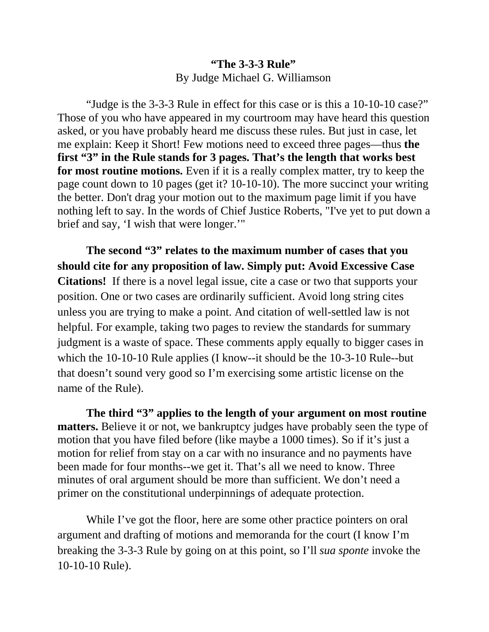## **"The 3-3-3 Rule"**  By Judge Michael G. Williamson

"Judge is the 3-3-3 Rule in effect for this case or is this a 10-10-10 case?" Those of you who have appeared in my courtroom may have heard this question asked, or you have probably heard me discuss these rules. But just in case, let me explain: Keep it Short! Few motions need to exceed three pages—thus **the first "3" in the Rule stands for 3 pages. That's the length that works best for most routine motions.** Even if it is a really complex matter, try to keep the page count down to 10 pages (get it? 10-10-10). The more succinct your writing the better. Don't drag your motion out to the maximum page limit if you have nothing left to say. In the words of Chief Justice Roberts, "I've yet to put down a brief and say, 'I wish that were longer.'"

**The second "3" relates to the maximum number of cases that you should cite for any proposition of law. Simply put: Avoid Excessive Case Citations!** If there is a novel legal issue, cite a case or two that supports your position. One or two cases are ordinarily sufficient. Avoid long string cites unless you are trying to make a point. And citation of well-settled law is not helpful. For example, taking two pages to review the standards for summary judgment is a waste of space. These comments apply equally to bigger cases in which the 10-10-10 Rule applies (I know--it should be the 10-3-10 Rule--but that doesn't sound very good so I'm exercising some artistic license on the name of the Rule).

**The third "3" applies to the length of your argument on most routine matters.** Believe it or not, we bankruptcy judges have probably seen the type of motion that you have filed before (like maybe a 1000 times). So if it's just a motion for relief from stay on a car with no insurance and no payments have been made for four months--we get it. That's all we need to know. Three minutes of oral argument should be more than sufficient. We don't need a primer on the constitutional underpinnings of adequate protection.

While I've got the floor, here are some other practice pointers on oral argument and drafting of motions and memoranda for the court (I know I'm breaking the 3-3-3 Rule by going on at this point, so I'll *sua sponte* invoke the 10-10-10 Rule).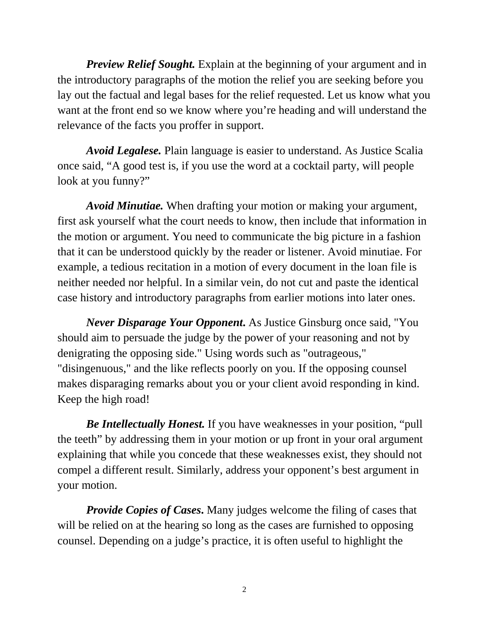*Preview Relief Sought.* Explain at the beginning of your argument and in the introductory paragraphs of the motion the relief you are seeking before you lay out the factual and legal bases for the relief requested. Let us know what you want at the front end so we know where you're heading and will understand the relevance of the facts you proffer in support.

*Avoid Legalese.* Plain language is easier to understand. As Justice Scalia once said, "A good test is, if you use the word at a cocktail party, will people look at you funny?"

*Avoid Minutiae.* When drafting your motion or making your argument, first ask yourself what the court needs to know, then include that information in the motion or argument. You need to communicate the big picture in a fashion that it can be understood quickly by the reader or listener. Avoid minutiae. For example, a tedious recitation in a motion of every document in the loan file is neither needed nor helpful. In a similar vein, do not cut and paste the identical case history and introductory paragraphs from earlier motions into later ones.

*Never Disparage Your Opponent***.** As Justice Ginsburg once said, "You should aim to persuade the judge by the power of your reasoning and not by denigrating the opposing side." Using words such as "outrageous," "disingenuous," and the like reflects poorly on you. If the opposing counsel makes disparaging remarks about you or your client avoid responding in kind. Keep the high road!

*Be Intellectually Honest.* If you have weaknesses in your position, "pull the teeth" by addressing them in your motion or up front in your oral argument explaining that while you concede that these weaknesses exist, they should not compel a different result. Similarly, address your opponent's best argument in your motion.

*Provide Copies of Cases***.** Many judges welcome the filing of cases that will be relied on at the hearing so long as the cases are furnished to opposing counsel. Depending on a judge's practice, it is often useful to highlight the